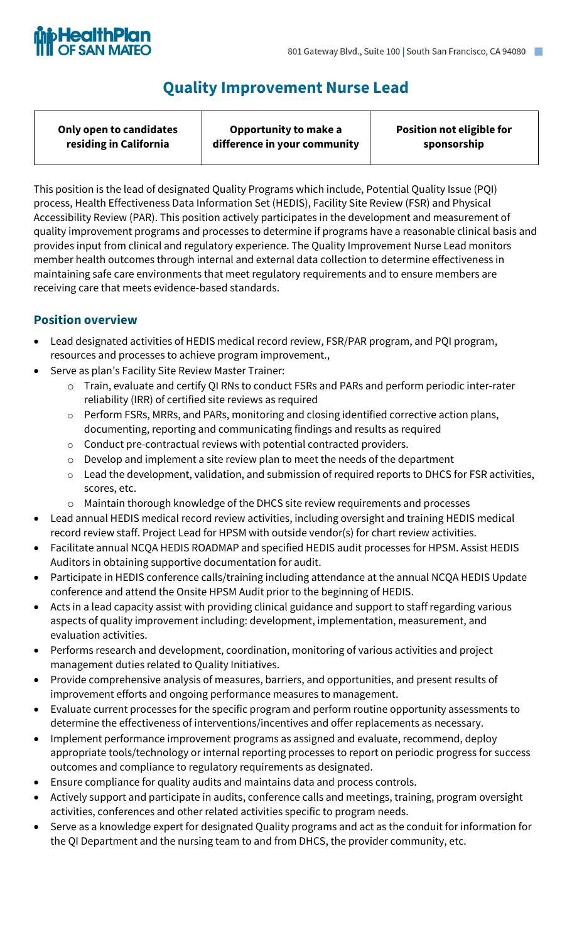

# **Quality Improvement Nurse Lead**

| Only open to candidates | Opportunity to make a        | <b>Position not eligible for</b> |
|-------------------------|------------------------------|----------------------------------|
| residing in California  | difference in your community | sponsorship                      |
|                         |                              |                                  |

This position is the lead of designated Quality Programs which include, Potential Quality Issue (PQI) process, Health Effectiveness Data Information Set (HEDIS), Facility Site Review (FSR) and Physical Accessibility Review (PAR). This position actively participates in the development and measurement of quality improvement programs and processes to determine if programs have a reasonable clinical basis and provides input from clinical and regulatory experience. The Quality Improvement Nurse Lead monitors member health outcomes through internal and external data collection to determine effectiveness in maintaining safe care environments that meet regulatory requirements and to ensure members are receiving care that meets evidence-based standards.

# **Position overview**

- Lead designated activities of HEDIS medical record review, FSR/PAR program, and PQI program, resources and processes to achieve program improvement.,
- Serve as plan's Facility Site Review Master Trainer:
	- o Train, evaluate and certify QI RNs to conduct FSRs and PARs and perform periodic inter-rater reliability (IRR) of certified site reviews as required
	- o Perform FSRs, MRRs, and PARs, monitoring and closing identified corrective action plans, documenting, reporting and communicating findings and results as required
	- $\circ$  Conduct pre-contractual reviews with potential contracted providers.
	- o Develop and implement a site review plan to meet the needs of the department
	- o Lead the development, validation, and submission of required reports to DHCS for FSR activities, scores, etc.
	- o Maintain thorough knowledge of the DHCS site review requirements and processes
- Lead annual HEDIS medical record review activities, including oversight and training HEDIS medical record review staff. Project Lead for HPSM with outside vendor(s) for chart review activities.
- Facilitate annual NCQA HEDIS ROADMAP and specified HEDIS audit processes for HPSM. Assist HEDIS Auditors in obtaining supportive documentation for audit.
- Participate in HEDIS conference calls/training including attendance at the annual NCQA HEDIS Update conference and attend the Onsite HPSM Audit prior to the beginning of HEDIS.
- Acts in a lead capacity assist with providing clinical guidance and support to staff regarding various aspects of quality improvement including: development, implementation, measurement, and evaluation activities.
- Performs research and development, coordination, monitoring of various activities and project management duties related to Quality Initiatives.
- Provide comprehensive analysis of measures, barriers, and opportunities, and present results of improvement efforts and ongoing performance measures to management.
- Evaluate current processes for the specific program and perform routine opportunity assessments to determine the effectiveness of interventions/incentives and offer replacements as necessary.
- Implement performance improvement programs as assigned and evaluate, recommend, deploy appropriate tools/technology or internal reporting processes to report on periodic progress for success outcomes and compliance to regulatory requirements as designated.
- Ensure compliance for quality audits and maintains data and process controls.
- Actively support and participate in audits, conference calls and meetings, training, program oversight activities, conferences and other related activities specific to program needs.
- Serve as a knowledge expert for designated Quality programs and act as the conduit for information for the QI Department and the nursing team to and from DHCS, the provider community, etc.